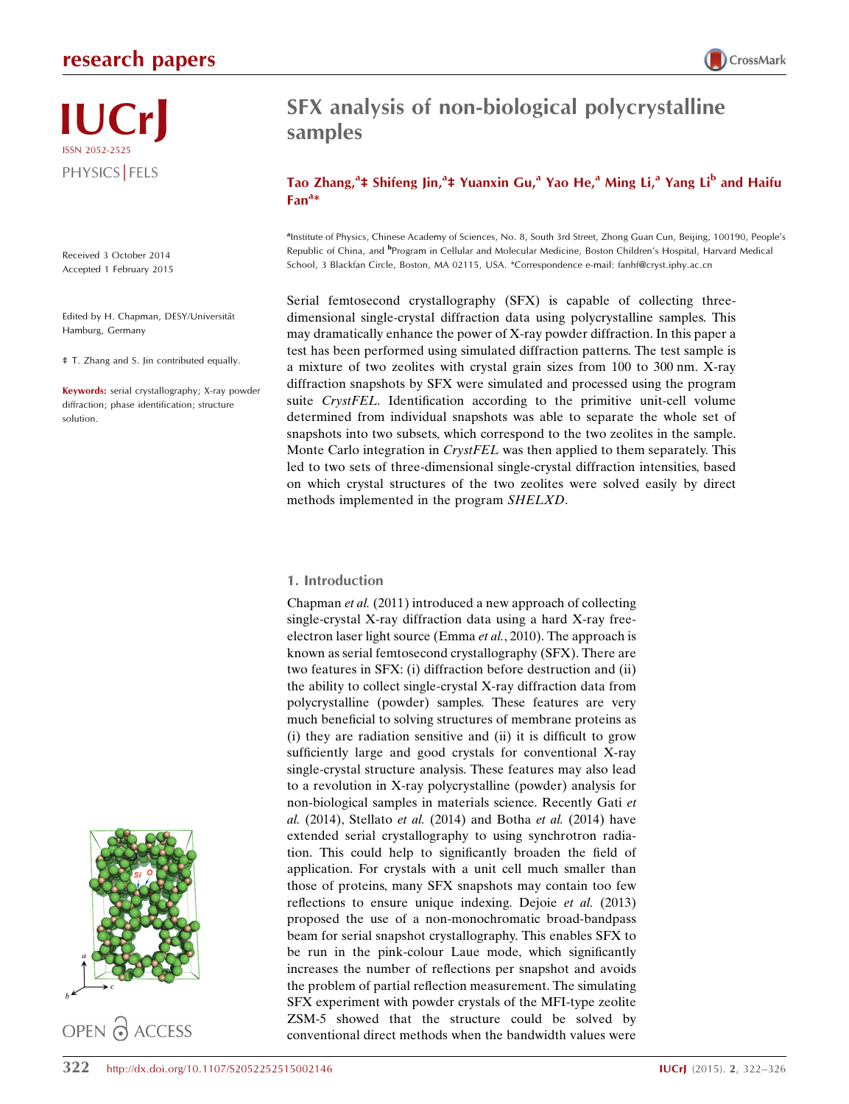# research papers

# SFX analysis of non-biological polycrystalline samples

## Tao Zhang,<sup>a</sup>‡ Shifeng Jin,<sup>a</sup>‡ Yuanxin Gu,<sup>a</sup> Yao He,<sup>a</sup> Ming Li,<sup>a</sup> Yang Li<sup>b</sup> and Haifu Fan<sup>a</sup>\*

alnstitute of Physics, Chinese Academy of Sciences, No. 8, South 3rd Street, Zhong Guan Cun, Beijing, 100190, People's Republic of China, and <sup>b</sup>Program in Cellular and Molecular Medicine, Boston Children's Hospital, Harvard Medical School, 3 Blackfan Circle, Boston, MA 02115, USA. \*Correspondence e-mail: fanhf@cryst.iphy.ac.cn

Serial femtosecond crystallography (SFX) is capable of collecting threedimensional single-crystal diffraction data using polycrystalline samples. This may dramatically enhance the power of X-ray powder diffraction. In this paper a test has been performed using simulated diffraction patterns. The test sample is a mixture of two zeolites with crystal grain sizes from 100 to 300 nm. X-ray diffraction snapshots by SFX were simulated and processed using the program suite CrystFEL. Identification according to the primitive unit-cell volume determined from individual snapshots was able to separate the whole set of snapshots into two subsets, which correspond to the two zeolites in the sample. Monte Carlo integration in CrystFEL was then applied to them separately. This led to two sets of three-dimensional single-crystal diffraction intensities, based on which crystal structures of the two zeolites were solved easily by direct methods implemented in the program SHELXD.

### 1. Introduction

Chapman et al. (2011) introduced a new approach of collecting single-crystal X-ray diffraction data using a hard X-ray freeelectron laser light source (Emma et al., 2010). The approach is known as serial femtosecond crystallography (SFX). There are two features in SFX: (i) diffraction before destruction and (ii) the ability to collect single-crystal X-ray diffraction data from polycrystalline (powder) samples. These features are very much beneficial to solving structures of membrane proteins as (i) they are radiation sensitive and (ii) it is difficult to grow sufficiently large and good crystals for conventional X-ray single-crystal structure analysis. These features may also lead to a revolution in X-ray polycrystalline (powder) analysis for non-biological samples in materials science. Recently Gati et al.  $(2014)$ , Stellato et al.  $(2014)$  and Botha et al.  $(2014)$  have extended serial crystallography to using synchrotron radiation. This could help to significantly broaden the field of application. For crystals with a unit cell much smaller than those of proteins, many SFX snapshots may contain too few reflections to ensure unique indexing. Dejoie et al. (2013) proposed the use of a non-monochromatic broad-bandpass beam for serial snapshot crystallography. This enables SFX to be run in the pink-colour Laue mode, which significantly increases the number of reflections per snapshot and avoids the problem of partial reflection measurement. The simulating SFX experiment with powder crystals of the MFI-type zeolite ZSM-5 showed that the structure could be solved by conventional direct methods when the bandwidth values were

Received 3 October 2014 Accepted 1 February 2015

IUCrJ

ISSN 2052-2525 PHYSICS | FELS

Edited by H. Chapman, DESY/Universität Hamburg, Germany

‡ T. Zhang and S. Jin contributed equally.

Keywords: serial crystallography; X-ray powder diffraction; phase identification; structure solution.

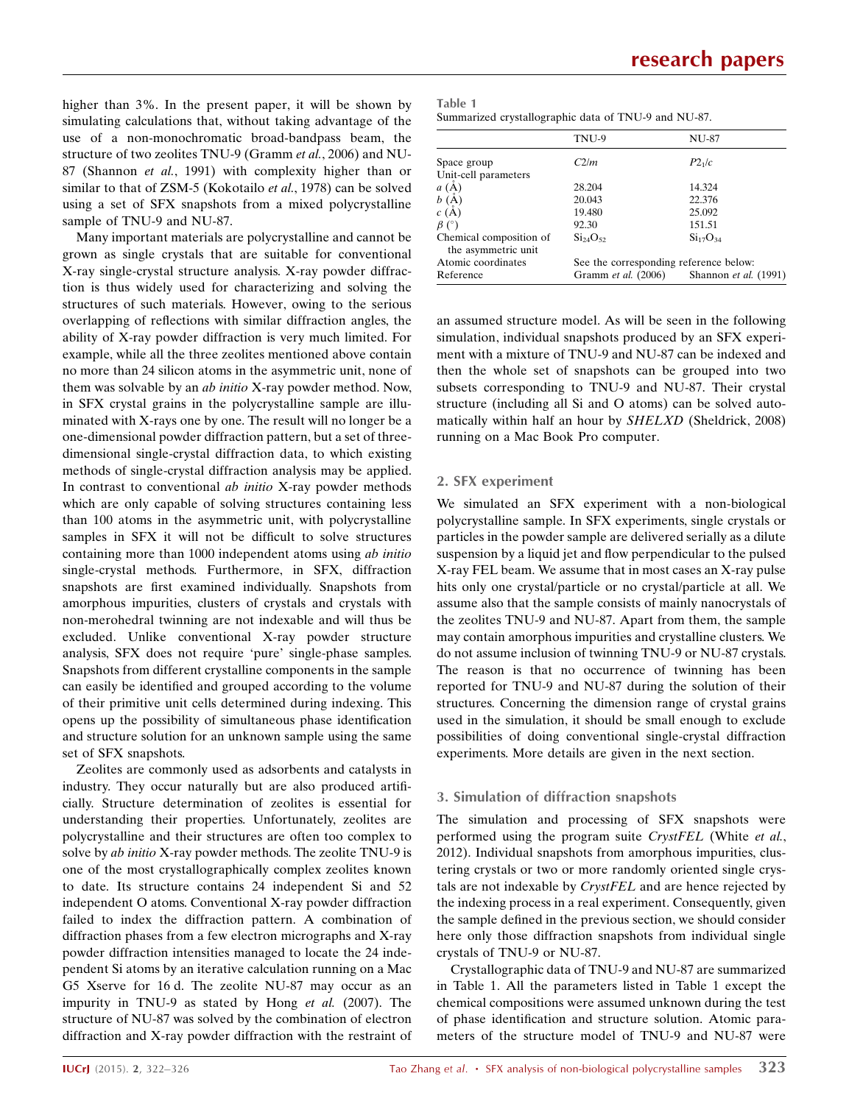higher than 3%. In the present paper, it will be shown by simulating calculations that, without taking advantage of the use of a non-monochromatic broad-bandpass beam, the structure of two zeolites TNU-9 (Gramm et al., 2006) and NU-87 (Shannon et al., 1991) with complexity higher than or similar to that of ZSM-5 (Kokotailo et al., 1978) can be solved using a set of SFX snapshots from a mixed polycrystalline sample of TNU-9 and NU-87.

Many important materials are polycrystalline and cannot be grown as single crystals that are suitable for conventional X-ray single-crystal structure analysis. X-ray powder diffraction is thus widely used for characterizing and solving the structures of such materials. However, owing to the serious overlapping of reflections with similar diffraction angles, the ability of X-ray powder diffraction is very much limited. For example, while all the three zeolites mentioned above contain no more than 24 silicon atoms in the asymmetric unit, none of them was solvable by an *ab initio* X-ray powder method. Now, in SFX crystal grains in the polycrystalline sample are illuminated with X-rays one by one. The result will no longer be a one-dimensional powder diffraction pattern, but a set of threedimensional single-crystal diffraction data, to which existing methods of single-crystal diffraction analysis may be applied. In contrast to conventional ab initio X-ray powder methods which are only capable of solving structures containing less than 100 atoms in the asymmetric unit, with polycrystalline samples in SFX it will not be difficult to solve structures containing more than 1000 independent atoms using ab initio single-crystal methods. Furthermore, in SFX, diffraction snapshots are first examined individually. Snapshots from amorphous impurities, clusters of crystals and crystals with non-merohedral twinning are not indexable and will thus be excluded. Unlike conventional X-ray powder structure analysis, SFX does not require 'pure' single-phase samples. Snapshots from different crystalline components in the sample can easily be identified and grouped according to the volume of their primitive unit cells determined during indexing. This opens up the possibility of simultaneous phase identification and structure solution for an unknown sample using the same set of SFX snapshots.

Zeolites are commonly used as adsorbents and catalysts in industry. They occur naturally but are also produced artificially. Structure determination of zeolites is essential for understanding their properties. Unfortunately, zeolites are polycrystalline and their structures are often too complex to solve by *ab initio* X-ray powder methods. The zeolite TNU-9 is one of the most crystallographically complex zeolites known to date. Its structure contains 24 independent Si and 52 independent O atoms. Conventional X-ray powder diffraction failed to index the diffraction pattern. A combination of diffraction phases from a few electron micrographs and X-ray powder diffraction intensities managed to locate the 24 independent Si atoms by an iterative calculation running on a Mac G5 Xserve for 16 d. The zeolite NU-87 may occur as an impurity in TNU-9 as stated by Hong et al. (2007). The structure of NU-87 was solved by the combination of electron diffraction and X-ray powder diffraction with the restraint of

| Table 1                                              |  |
|------------------------------------------------------|--|
| Summarized crystallographic data of TNU-9 and NU-87. |  |

|                                                | TNU-9                                  | <b>NU-87</b>                 |  |
|------------------------------------------------|----------------------------------------|------------------------------|--|
| Space group                                    | C2/m                                   | P2 <sub>1</sub> /c           |  |
| Unit-cell parameters                           |                                        |                              |  |
| a(A)                                           | 28.204                                 | 14.324                       |  |
| b(A)                                           | 20.043                                 | 22.376                       |  |
| c(A)                                           | 19.480                                 | 25.092                       |  |
| $\beta$ (°)                                    | 92.30                                  | 151.51                       |  |
| Chemical composition of<br>the asymmetric unit | Si <sub>24</sub> O <sub>52</sub>       | $Si_{17}O_{34}$              |  |
| Atomic coordinates                             | See the corresponding reference below: |                              |  |
| Reference                                      | Gramm <i>et al.</i> (2006)             | Shannon <i>et al.</i> (1991) |  |

an assumed structure model. As will be seen in the following simulation, individual snapshots produced by an SFX experiment with a mixture of TNU-9 and NU-87 can be indexed and then the whole set of snapshots can be grouped into two subsets corresponding to TNU-9 and NU-87. Their crystal structure (including all Si and O atoms) can be solved automatically within half an hour by SHELXD (Sheldrick, 2008) running on a Mac Book Pro computer.

### 2. SFX experiment

We simulated an SFX experiment with a non-biological polycrystalline sample. In SFX experiments, single crystals or particles in the powder sample are delivered serially as a dilute suspension by a liquid jet and flow perpendicular to the pulsed X-ray FEL beam. We assume that in most cases an X-ray pulse hits only one crystal/particle or no crystal/particle at all. We assume also that the sample consists of mainly nanocrystals of the zeolites TNU-9 and NU-87. Apart from them, the sample may contain amorphous impurities and crystalline clusters. We do not assume inclusion of twinning TNU-9 or NU-87 crystals. The reason is that no occurrence of twinning has been reported for TNU-9 and NU-87 during the solution of their structures. Concerning the dimension range of crystal grains used in the simulation, it should be small enough to exclude possibilities of doing conventional single-crystal diffraction experiments. More details are given in the next section.

### 3. Simulation of diffraction snapshots

The simulation and processing of SFX snapshots were performed using the program suite CrystFEL (White et al., 2012). Individual snapshots from amorphous impurities, clustering crystals or two or more randomly oriented single crystals are not indexable by CrystFEL and are hence rejected by the indexing process in a real experiment. Consequently, given the sample defined in the previous section, we should consider here only those diffraction snapshots from individual single crystals of TNU-9 or NU-87.

Crystallographic data of TNU-9 and NU-87 are summarized in Table 1. All the parameters listed in Table 1 except the chemical compositions were assumed unknown during the test of phase identification and structure solution. Atomic parameters of the structure model of TNU-9 and NU-87 were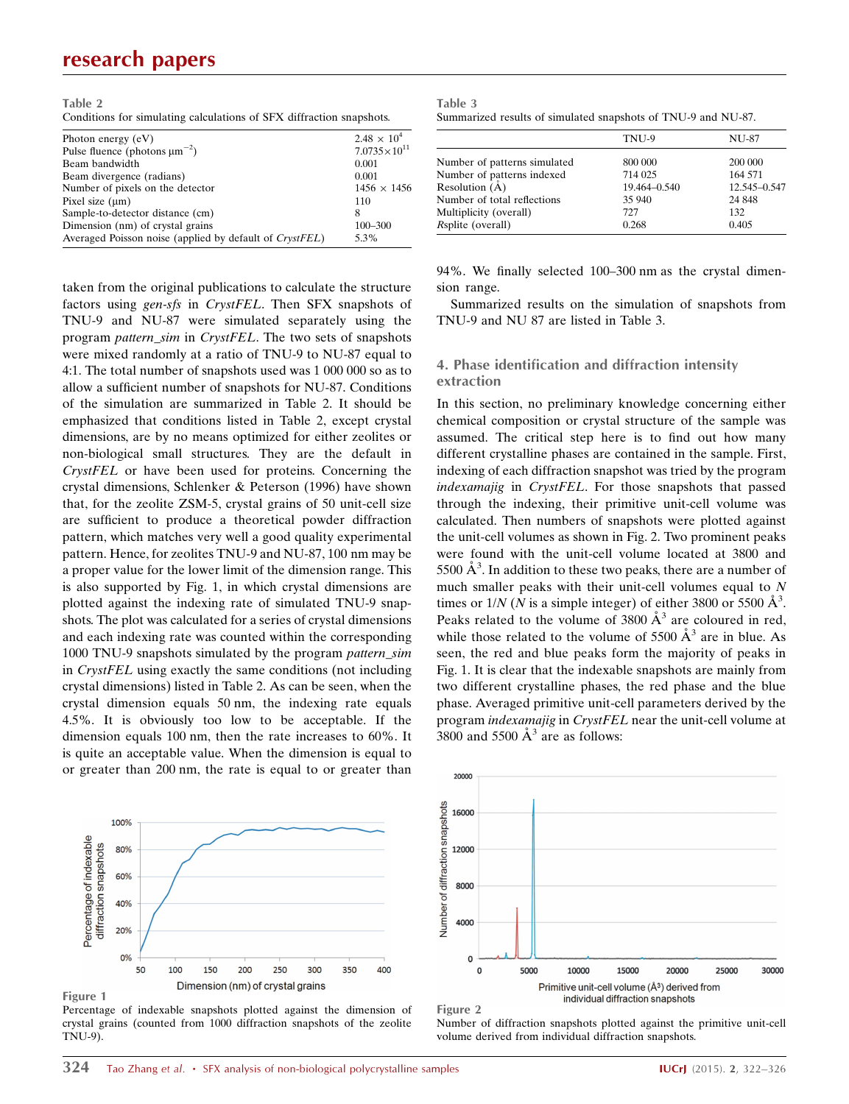## research papers

Table 2

Conditions for simulating calculations of SFX diffraction snapshots.

| Photon energy (eV)                                      | $2.48 \times 10^{4}$    |
|---------------------------------------------------------|-------------------------|
| Pulse fluence (photons $\mu$ m <sup>-2</sup> )          | $7.0735 \times 10^{11}$ |
| Beam bandwidth                                          | 0.001                   |
| Beam divergence (radians)                               | 0.001                   |
| Number of pixels on the detector                        | $1456 \times 1456$      |
| Pixel size $(\mu m)$                                    | 110                     |
| Sample-to-detector distance (cm)                        | 8                       |
| Dimension (nm) of crystal grains                        | $100 - 300$             |
| Averaged Poisson noise (applied by default of CrystFEL) | 5.3%                    |

taken from the original publications to calculate the structure factors using gen-sfs in CrystFEL. Then SFX snapshots of TNU-9 and NU-87 were simulated separately using the program pattern\_sim in CrystFEL. The two sets of snapshots were mixed randomly at a ratio of TNU-9 to NU-87 equal to 4:1. The total number of snapshots used was 1 000 000 so as to allow a sufficient number of snapshots for NU-87. Conditions of the simulation are summarized in Table 2. It should be emphasized that conditions listed in Table 2, except crystal dimensions, are by no means optimized for either zeolites or non-biological small structures. They are the default in CrystFEL or have been used for proteins. Concerning the crystal dimensions, Schlenker & Peterson (1996) have shown that, for the zeolite ZSM-5, crystal grains of 50 unit-cell size are sufficient to produce a theoretical powder diffraction pattern, which matches very well a good quality experimental pattern. Hence, for zeolites TNU-9 and NU-87, 100 nm may be a proper value for the lower limit of the dimension range. This is also supported by Fig. 1, in which crystal dimensions are plotted against the indexing rate of simulated TNU-9 snapshots. The plot was calculated for a series of crystal dimensions and each indexing rate was counted within the corresponding 1000 TNU-9 snapshots simulated by the program *pattern\_sim* in CrystFEL using exactly the same conditions (not including crystal dimensions) listed in Table 2. As can be seen, when the crystal dimension equals 50 nm, the indexing rate equals 4.5%. It is obviously too low to be acceptable. If the dimension equals 100 nm, then the rate increases to 60%. It is quite an acceptable value. When the dimension is equal to or greater than 200 nm, the rate is equal to or greater than



Figure 1

Percentage of indexable snapshots plotted against the dimension of crystal grains (counted from 1000 diffraction snapshots of the zeolite TNU-9).

| Table 3                                                       |  |
|---------------------------------------------------------------|--|
| Summarized results of simulated snapshots of TNU-9 and NU-87. |  |

|                              | TNU-9        | <b>NU-87</b> |
|------------------------------|--------------|--------------|
| Number of patterns simulated | 800 000      | 200 000      |
| Number of patterns indexed   | 714 025      | 164 571      |
| Resolution $(A)$             | 19.464-0.540 | 12.545-0.547 |
| Number of total reflections  | 35 940       | 24 848       |
| Multiplicity (overall)       | 727          | 132          |
| <i>Rsplite</i> (overall)     | 0.268        | 0.405        |

94%. We finally selected 100–300 nm as the crystal dimension range.

Summarized results on the simulation of snapshots from TNU-9 and NU 87 are listed in Table 3.

### 4. Phase identification and diffraction intensity extraction

In this section, no preliminary knowledge concerning either chemical composition or crystal structure of the sample was assumed. The critical step here is to find out how many different crystalline phases are contained in the sample. First, indexing of each diffraction snapshot was tried by the program indexamajig in CrystFEL. For those snapshots that passed through the indexing, their primitive unit-cell volume was calculated. Then numbers of snapshots were plotted against the unit-cell volumes as shown in Fig. 2. Two prominent peaks were found with the unit-cell volume located at 3800 and 5500  $\AA$ <sup>3</sup>. In addition to these two peaks, there are a number of much smaller peaks with their unit-cell volumes equal to  $N$ times or  $1/N$  (N is a simple integer) of either 3800 or 5500  $\AA^3$ . Peaks related to the volume of  $3800 \text{ Å}^3$  are coloured in red, while those related to the volume of 5500  $\AA^3$  are in blue. As seen, the red and blue peaks form the majority of peaks in Fig. 1. It is clear that the indexable snapshots are mainly from two different crystalline phases, the red phase and the blue phase. Averaged primitive unit-cell parameters derived by the program indexamajig in CrystFEL near the unit-cell volume at 3800 and 5500  $\AA$ <sup>3</sup> are as follows:





Number of diffraction snapshots plotted against the primitive unit-cell volume derived from individual diffraction snapshots.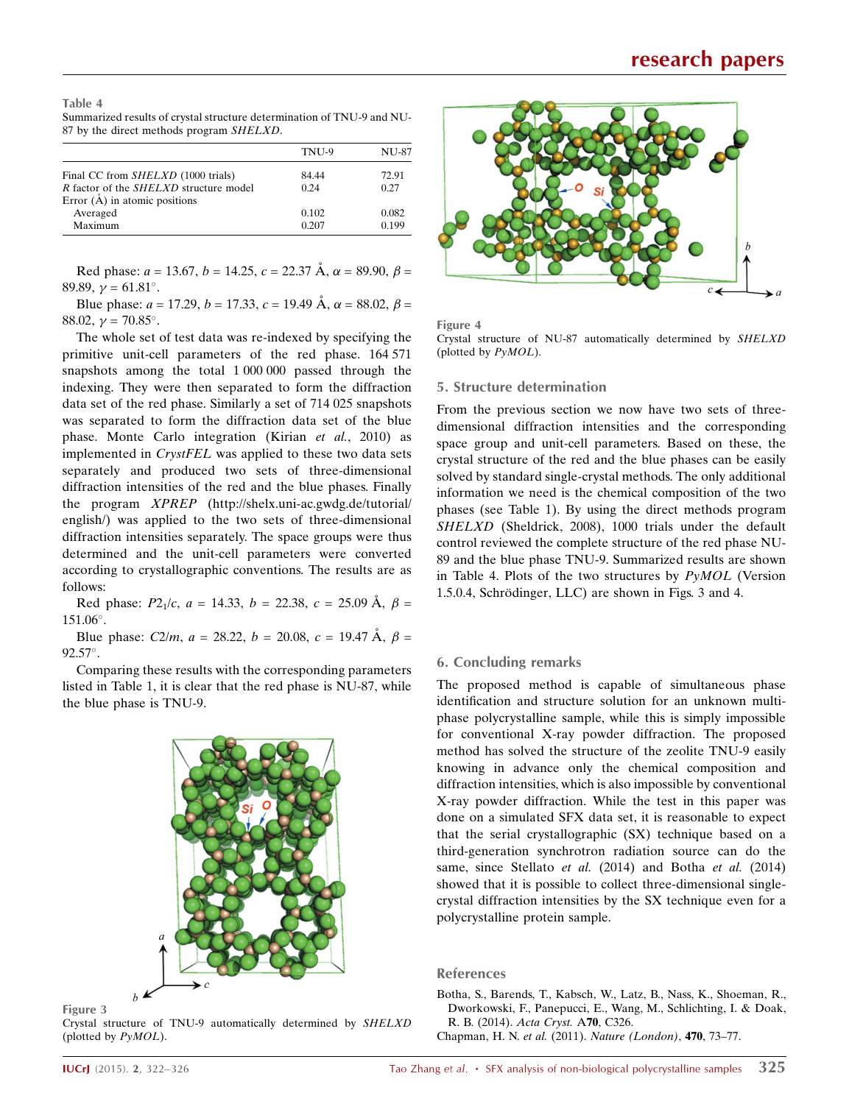| Table 4                                                                |
|------------------------------------------------------------------------|
| Summarized results of crystal structure determination of TNU-9 and NU- |
| 87 by the direct methods program <i>SHELXD</i> .                       |

|                                               | TNU-9 | <b>NU-87</b> |
|-----------------------------------------------|-------|--------------|
| Final CC from <i>SHELXD</i> (1000 trials)     | 84.44 | 72.91        |
| R factor of the <i>SHELXD</i> structure model | 0.24  | 0.27         |
| Error $(\mathring{A})$ in atomic positions    |       |              |
| Averaged                                      | 0.102 | 0.082        |
| Maximum                                       | 0.207 | 0.199        |

Red phase:  $a = 13.67$ ,  $b = 14.25$ ,  $c = 22.37 \text{ Å}$ ,  $\alpha = 89.90$ ,  $\beta =$ 89.89,  $v = 61.81^{\circ}$ .

Blue phase:  $a = 17.29$ ,  $b = 17.33$ ,  $c = 19.49$  Å,  $\alpha = 88.02$ ,  $\beta =$ 88.02,  $\gamma = 70.85^{\circ}$ .

The whole set of test data was re-indexed by specifying the primitive unit-cell parameters of the red phase. 164 571 snapshots among the total 1 000 000 passed through the indexing. They were then separated to form the diffraction data set of the red phase. Similarly a set of 714 025 snapshots was separated to form the diffraction data set of the blue phase. Monte Carlo integration (Kirian et al., 2010) as implemented in CrystFEL was applied to these two data sets separately and produced two sets of three-dimensional diffraction intensities of the red and the blue phases. Finally the program XPREP (http://shelx.uni-ac.gwdg.de/tutorial/ english/) was applied to the two sets of three-dimensional diffraction intensities separately. The space groups were thus determined and the unit-cell parameters were converted according to crystallographic conventions. The results are as follows:

Red phase:  $P2_1/c$ ,  $a = 14.33$ ,  $b = 22.38$ ,  $c = 25.09 \text{ Å}$ ,  $\beta =$ 151.06°.

Blue phase: C2/m,  $a = 28.22$ ,  $b = 20.08$ ,  $c = 19.47 \text{ Å}$ ,  $\beta =$ 92.57°.

Comparing these results with the corresponding parameters listed in Table 1, it is clear that the red phase is NU-87, while the blue phase is TNU-9.



Figure 3

Crystal structure of TNU-9 automatically determined by SHELXD (plotted by  $PyMOL$ ).



Figure 4

Crystal structure of NU-87 automatically determined by SHELXD (plotted by PyMOL).

### 5. Structure determination

From the previous section we now have two sets of threedimensional diffraction intensities and the corresponding space group and unit-cell parameters. Based on these, the crystal structure of the red and the blue phases can be easily solved by standard single-crystal methods. The only additional information we need is the chemical composition of the two phases (see Table 1). By using the direct methods program SHELXD (Sheldrick, 2008), 1000 trials under the default control reviewed the complete structure of the red phase NU-89 and the blue phase TNU-9. Summarized results are shown in Table 4. Plots of the two structures by PyMOL (Version 1.5.0.4, Schrödinger, LLC) are shown in Figs. 3 and 4.

### 6. Concluding remarks

The proposed method is capable of simultaneous phase identification and structure solution for an unknown multiphase polycrystalline sample, while this is simply impossible for conventional X-ray powder diffraction. The proposed method has solved the structure of the zeolite TNU-9 easily knowing in advance only the chemical composition and diffraction intensities, which is also impossible by conventional X-ray powder diffraction. While the test in this paper was done on a simulated SFX data set, it is reasonable to expect that the serial crystallographic (SX) technique based on a third-generation synchrotron radiation source can do the same, since Stellato et al. (2014) and Botha et al. (2014) showed that it is possible to collect three-dimensional singlecrystal diffraction intensities by the SX technique even for a polycrystalline protein sample.

#### References

[Botha, S., Barends, T., Kabsch, W., Latz, B., Nass, K., Shoeman, R.,](http://scripts.iucr.org/cgi-bin/cr.cgi?rm=pdfbb&cnor=cw5006&bbid=BB1) [Dworkowski, F., Panepucci, E., Wang, M., Schlichting, I. & Doak,](http://scripts.iucr.org/cgi-bin/cr.cgi?rm=pdfbb&cnor=cw5006&bbid=BB1) [R. B. \(2014\).](http://scripts.iucr.org/cgi-bin/cr.cgi?rm=pdfbb&cnor=cw5006&bbid=BB1) Acta Cryst. A70, C326.

Chapman, H. N. et al. (2011). [Nature \(London\)](http://scripts.iucr.org/cgi-bin/cr.cgi?rm=pdfbb&cnor=cw5006&bbid=BB2), 470, 73–77.